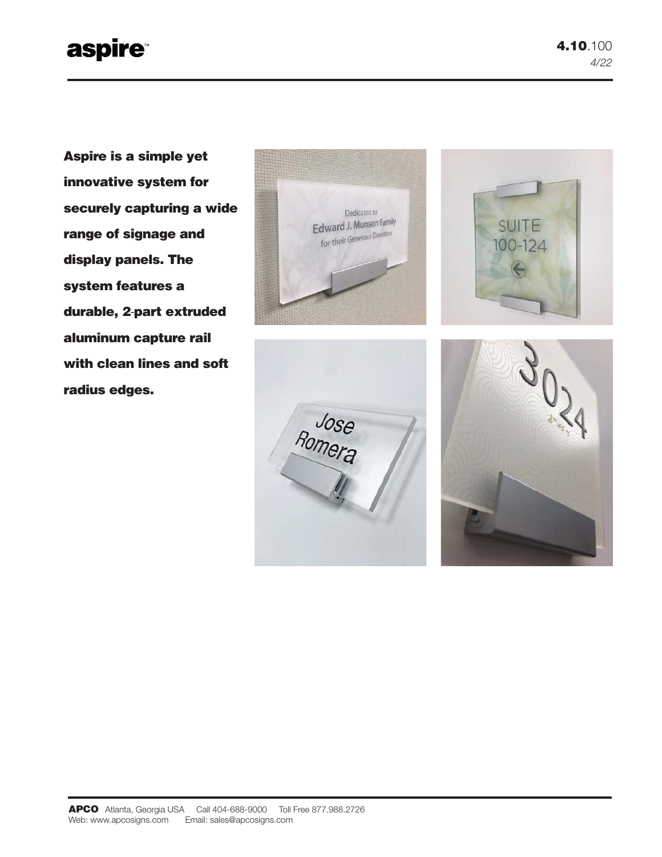# **aspire**

**Aspire is a simple yet innovative system for securely capturing a wide range of signage and display panels. The system features a durable, 2**-**part extruded aluminum capture rail with clean lines and soft radius edges.**







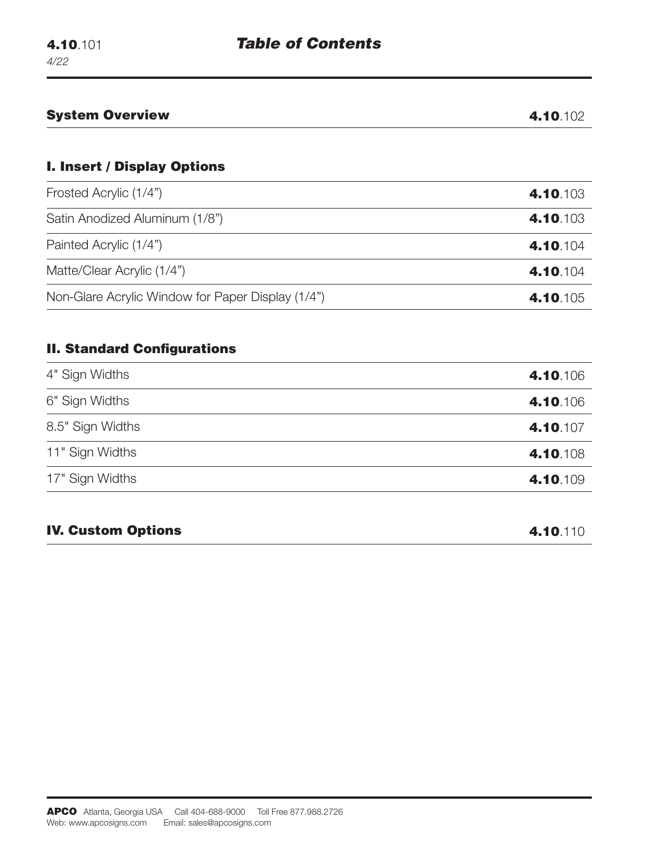|                                                   | 4.10.102             |
|---------------------------------------------------|----------------------|
| <b>I. Insert / Display Options</b>                |                      |
| Frosted Acrylic (1/4")                            | 4.10.103             |
| Satin Anodized Aluminum (1/8")                    | 4.10.103             |
| Painted Acrylic (1/4")                            | 4.10.104             |
| Matte/Clear Acrylic (1/4")                        | 4.10.104             |
| Non-Glare Acrylic Window for Paper Display (1/4") | 4.10.105             |
| <b>II. Standard Configurations</b>                |                      |
|                                                   |                      |
| 4" Sign Widths<br>6" Sign Widths                  | 4.10.106<br>4.10.106 |
| 8.5" Sign Widths                                  | 4.10.107             |
| 11" Sign Widths                                   | 4.10.108             |
| 17" Sign Widths                                   | 4.10.109             |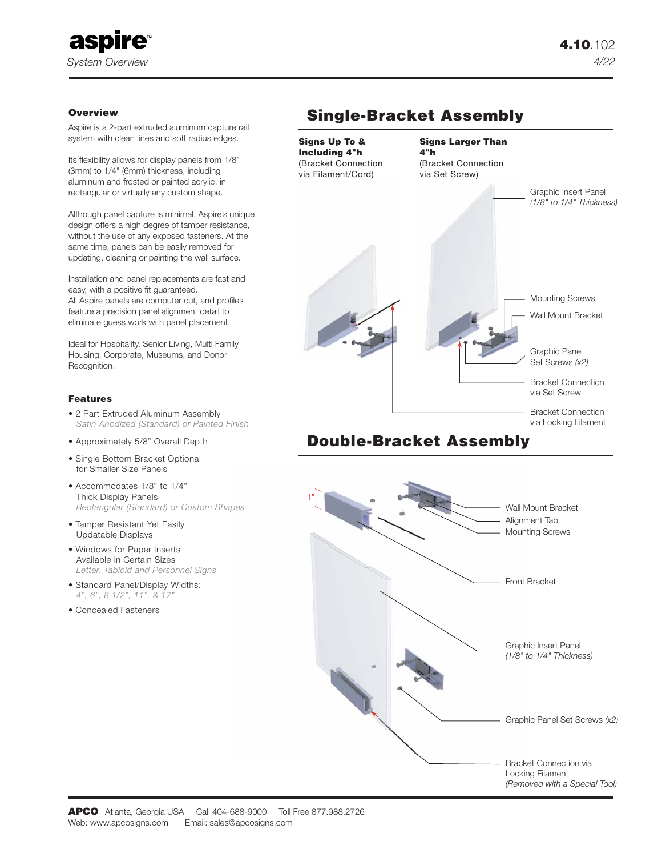

### **Overview**

Aspire is a 2-part extruded aluminum capture rail system with clean lines and soft radius edges.

Its flexibility allows for display panels from 1/8" (3mm) to 1/4" (6mm) thickness, including aluminum and frosted or painted acrylic, in rectangular or virtually any custom shape.

Although panel capture is minimal, Aspire's unique design offers a high degree of tamper resistance, without the use of any exposed fasteners. At the same time, panels can be easily removed for updating, cleaning or painting the wall surface.

Installation and panel replacements are fast and easy, with a positive fit guaranteed. All Aspire panels are computer cut, and profiles feature a precision panel alignment detail to eliminate guess work with panel placement.

Ideal for Hospitality, Senior Living, Multi Family Housing, Corporate, Museums, and Donor Recognition.

### **Features**

- 2 Part Extruded Aluminum Assembly  *Satin Anodized (Standard) or Painted Finish*
- Approximately 5/8" Overall Depth
- Single Bottom Bracket Optional for Smaller Size Panels
- Accommodates 1/8" to 1/4" Thick Display Panels  *Rectangular (Standard) or Custom Shapes*
- Tamper Resistant Yet Easily Updatable Displays
- Windows for Paper Inserts Available in Certain Sizes  *Letter, Tabloid and Personnel Signs*
- Standard Panel/Display Widths:  *4", 6", 8 1/2", 11", & 17"*
- Concealed Fasteners

## **Single-Bracket Assembly**



### **Double-Bracket Assembly**

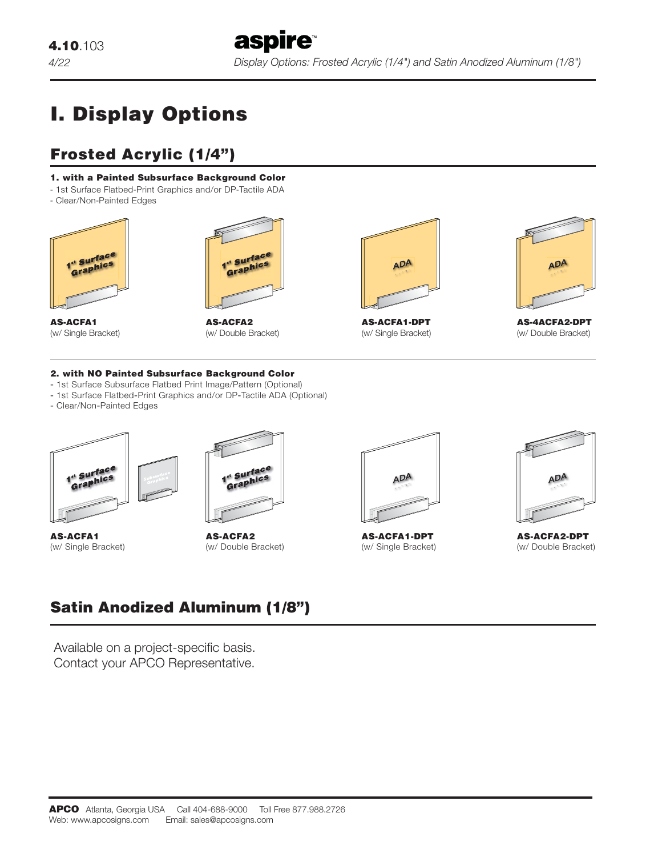# **I. Display Options**

# **Frosted Acrylic (1/4")**

### **1. with a Painted Subsurface Background Color**

- 1st Surface Flatbed-Print Graphics and/or DP-Tactile ADA
- Clear/Non-Painted Edges



**AS-ACFA1**



(w/ Single Bracket)

**AS-ACFA2** (w/ Double Bracket)



**AS-ACFA1-DPT** (w/ Single Bracket)



**AS-4ACFA2-DPT** (w/ Double Bracket)

### **2. with NO Painted Subsurface Background Color**

- ‐ 1st Surface Subsurface Flatbed Print Image/Pattern (Optional)
- ‐ 1st Surface Flatbed‐Print Graphics and/or DP‐Tactile ADA (Optional)
- ‐ Clear/Non‐Painted Edges



**AS-ACFA1** (w/ Single Bracket)



**AS-ACFA2** (w/ Double Bracket)



**AS-ACFA1-DPT** (w/ Single Bracket)



**AS-ACFA2-DPT** (w/ Double Bracket)

# **Satin Anodized Aluminum (1/8")**

Available on a project-specific basis. Contact your APCO Representative.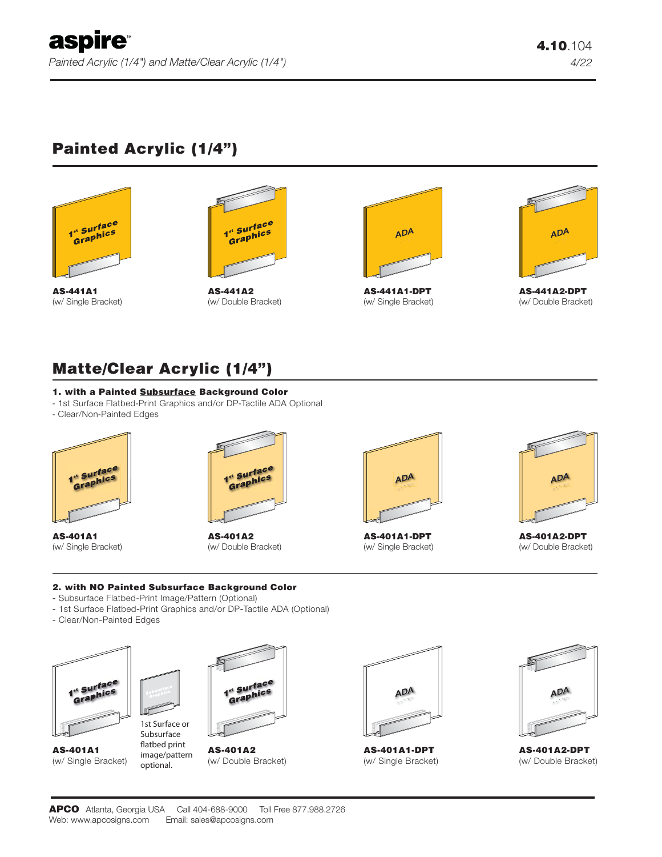# **Painted Acrylic (1/4")**



**AS-441A1** (w/ Single Bracket)



**AS-441A2** (w/ Double Bracket)



(w/ Single Bracket)



**AS-441A2-DPT** (w/ Double Bracket)

## **Matte/Clear Acrylic (1/4")**

### **1. with a Painted Subsurface Background Color**

- 1st Surface Flatbed-Print Graphics and/or DP-Tactile ADA Optional
- Clear/Non-Painted Edges



**AS-401A1** (w/ Single Bracket)



**AS-401A2** (w/ Double Bracket)



**AS-401A1-DPT** (w/ Single Bracket)



**AS-401A2-DPT** (w/ Double Bracket)

### **2. with NO Painted Subsurface Background Color**

‐ Subsurface Flatbed-Print Image/Pattern (Optional)

Subsurface flatbed print image/pattern optional.

- ‐ 1st Surface Flatbed‐Print Graphics and/or DP‐Tactile ADA (Optional)
- ‐ Clear/Non‐Painted Edges



**AS-401A1** (w/ Single Bracket)



**AS-401A2** (w/ Double Bracket)



**AS-401A1-DPT** (w/ Single Bracket)



**AS-401A2-DPT** (w/ Double Bracket)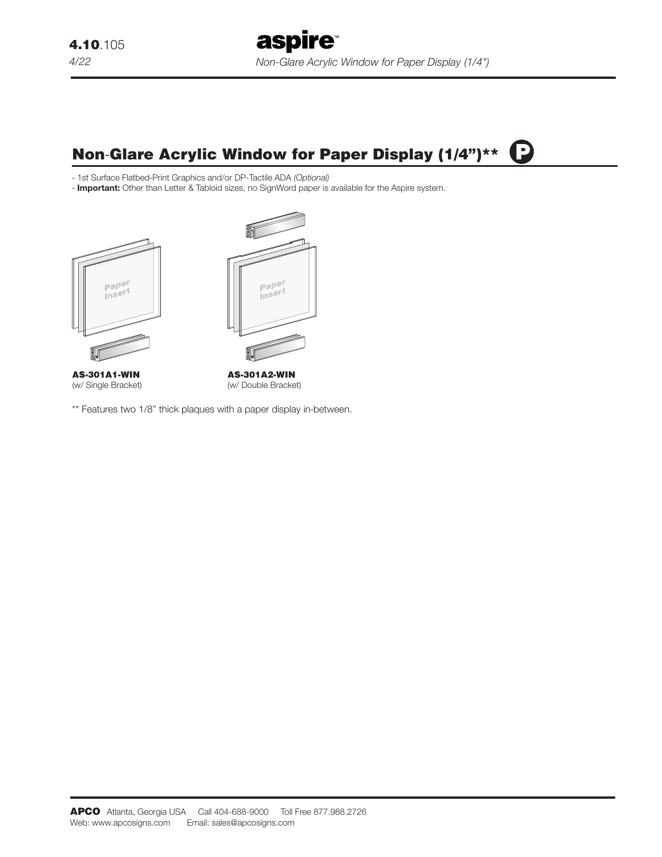#### C **Non**-**Glare Acrylic Window for Paper Display (1/4")\*\***

‐ 1st Surface Flatbed-Print Graphics and/or DP-Tactile ADA *(Optional)*

- **Important:** Other than Letter & Tabloid sizes, no SignWord paper is available for the Aspire system.



(w/ Single Bracket)

(w/ Double Bracket)

\*\* Features two 1/8" thick plaques with a paper display in-between.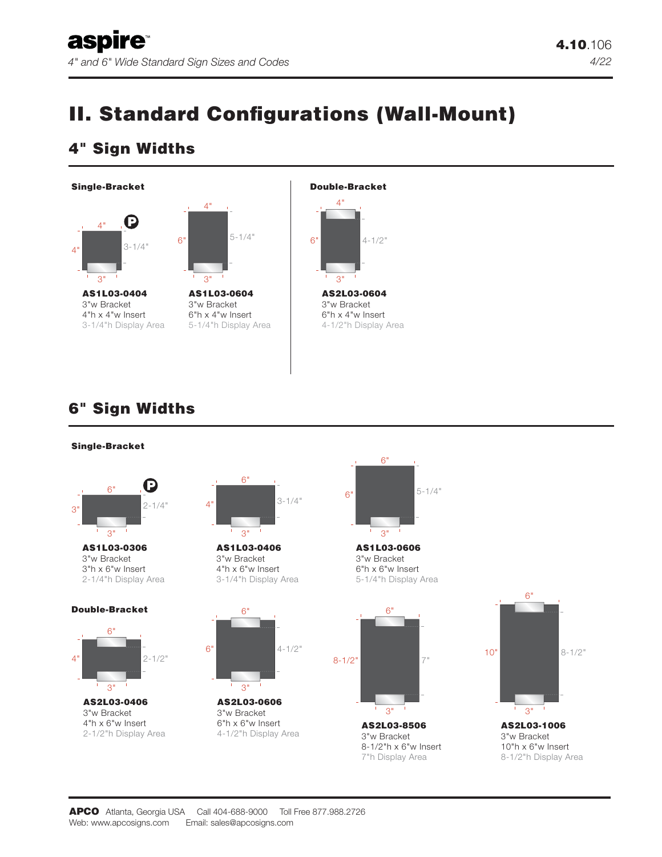# **II. Standard Configurations (Wall-Mount)**

## **4" Sign Widths**





## **6" Sign Widths**

### **Single-Bracket**



**AS1L03-0306** 3"w Bracket 3"h x 6"w Insert 2-1/4"h Display Area

#### **Double-Bracket**



**AS2L03-0406** 3"w Bracket 4"h x 6"w Insert 2-1/2"h Display Area



**AS1L03-0406** 3"w Bracket 4"h x 6"w Insert 3-1/4"h Display Area

 $\overline{a}$ 

 $4 - 1/2$ "

**AS2L03-0606** 3"w Bracket 6"h x 6"w Insert 4-1/2"h Display Area

 $\overline{Q}$ 



**AS1L03-0606** 3"w Bracket 6"h x 6"w Insert 5-1/4"h Display Area



3"w Bracket 8-1/2"h x 6"w Insert 7"h Display Area



3"w Bracket 10"h x 6"w Insert 8-1/2"h Display Area

6"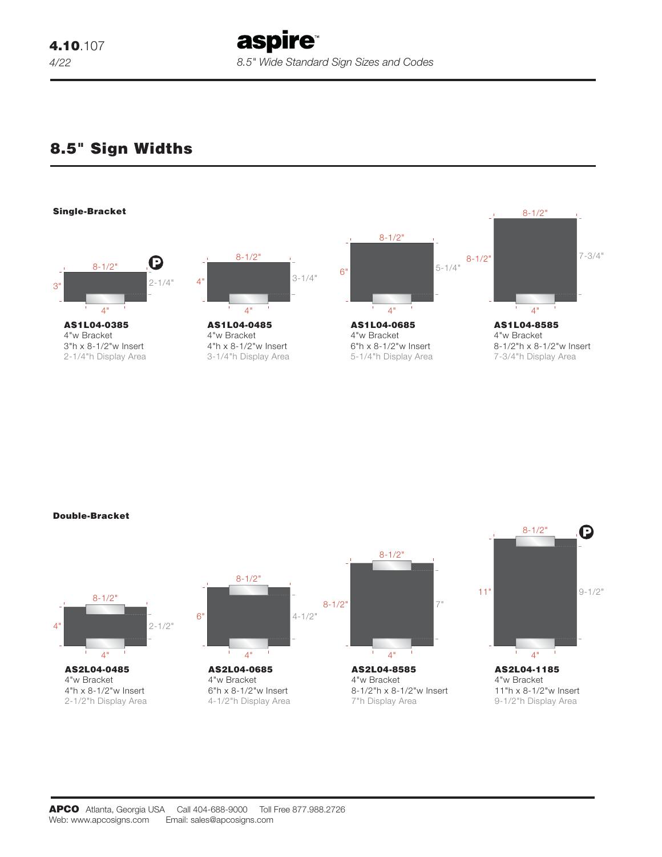aspire *8.5" Wide Standard Sign Sizes and Codes* 

### **8.5" Sign Widths**



**Double-Bracket**

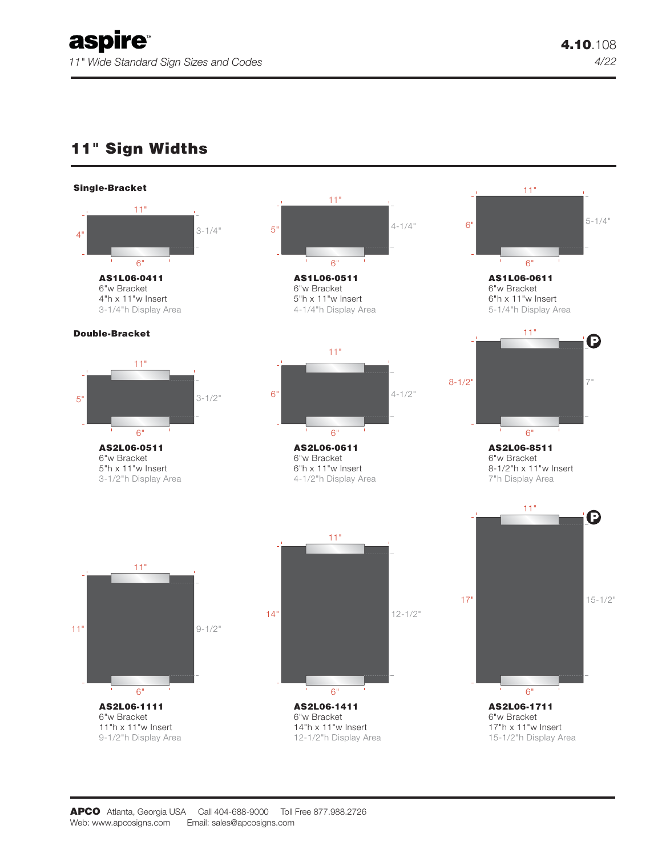$\mathbf \Theta$ 

 $\boldsymbol{\Theta}$ 

11"

6"

11"

 $6"$ 

11"

### **11" Sign Widths**



**AS2L06-1111** 6"w Bracket 11"h x 11"w Insert 9-1/2"h Display Area

6"



**AS2L06-1711** 6"w Bracket 17" 15-1/2" 6"

17"h x 11"w Insert 15-1/2"h Display Area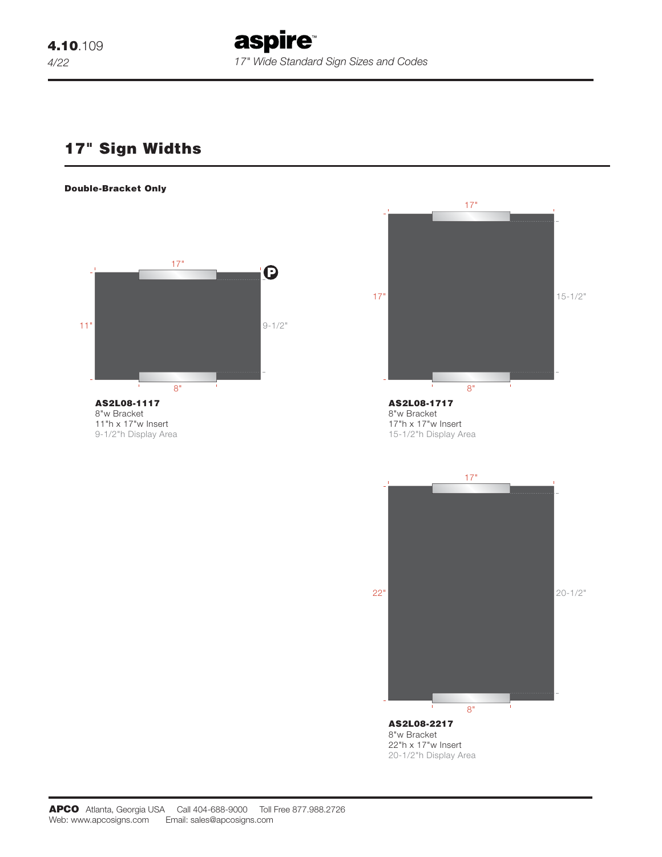**aspire** *17" Wide Standard Sign Sizes and Codes* 

### **17" Sign Widths**

#### **Double-Bracket Only**



8"w Bracket 11"h x 17"w Insert 9-1/2"h Display Area